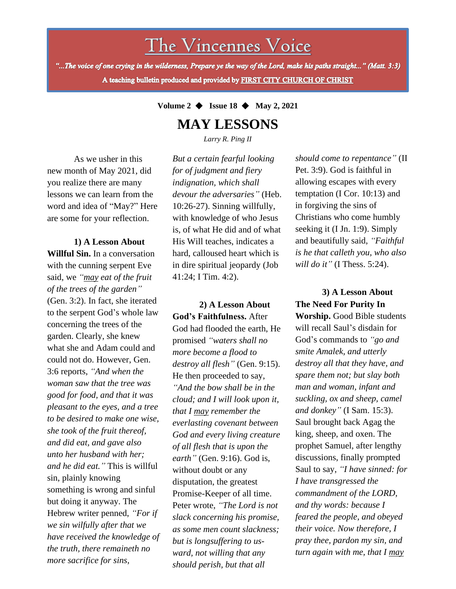The Vincennes Voice

"...The voice of one crying in the wilderness, Prepare ye the way of the Lord, make his paths straight..." (Matt. 3:3) A teaching bulletin produced and provided by FIRST CITY CHURCH OF CHRIST

**Volume 2** ◆ **Issue 18** ◆ **May 2, 2021**

## **MAY LESSONS**

*Larry R. Ping II*

As we usher in this new month of May 2021, did you realize there are many lessons we can learn from the word and idea of "May?" Here are some for your reflection.

Hebrew writer penned, "For if **1) A Lesson About Willful Sin.** In a conversation with the cunning serpent Eve said, we *"may eat of the fruit of the trees of the garden"* (Gen. 3:2). In fact, she iterated to the serpent God's whole law concerning the trees of the garden. Clearly, she knew what she and Adam could and could not do. However, Gen. 3:6 reports, *"And when the woman saw that the tree was good for food, and that it was pleasant to the eyes, and a tree to be desired to make one wise, she took of the fruit thereof, and did eat, and gave also unto her husband with her; and he did eat."* This is willful sin, plainly knowing something is wrong and sinful but doing it anyway. The *we sin wilfully after that we have received the knowledge of the truth, there remaineth no more sacrifice for sins,*

*But a certain fearful looking for of judgment and fiery indignation, which shall devour the adversaries"* (Heb. 10:26-27). Sinning willfully, with knowledge of who Jesus is, of what He did and of what His Will teaches, indicates a hard, calloused heart which is in dire spiritual jeopardy (Job 41:24; I Tim. 4:2).

**2) A Lesson About God's Faithfulness.** After God had flooded the earth, He promised *"waters shall no more become a flood to destroy all flesh"* (Gen. 9:15). He then proceeded to say, *"And the bow shall be in the cloud; and I will look upon it, that I may remember the everlasting covenant between God and every living creature of all flesh that is upon the earth"* (Gen. 9:16). God is, without doubt or any disputation, the greatest Promise-Keeper of all time. Peter wrote, *"The Lord is not slack concerning his promise, as some men count slackness; but is longsuffering to usward, not willing that any should perish, but that all*

*should come to repentance"* (II Pet. 3:9). God is faithful in allowing escapes with every temptation (I Cor. 10:13) and in forgiving the sins of Christians who come humbly seeking it (I Jn. 1:9). Simply and beautifully said, *"Faithful is he that calleth you, who also will do it"* (I Thess. 5:24).

**3) A Lesson About The Need For Purity In Worship.** Good Bible students will recall Saul's disdain for God's commands to *"go and smite Amalek, and utterly destroy all that they have, and spare them not; but slay both man and woman, infant and suckling, ox and sheep, camel and donkey"* (I Sam. 15:3). Saul brought back Agag the king, sheep, and oxen. The prophet Samuel, after lengthy discussions, finally prompted Saul to say, *"I have sinned: for I have transgressed the commandment of the LORD, and thy words: because I feared the people, and obeyed their voice. Now therefore, I pray thee, pardon my sin, and turn again with me, that I may*